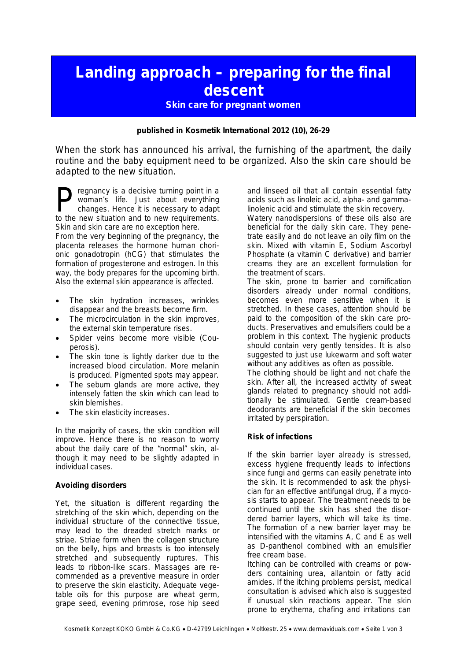## **Landing approach – preparing for the final descent**

## **Skin care for pregnant women**

**published in Kosmetik International 2012 (10), 26-29**

When the stork has announced his arrival, the furnishing of the apartment, the daily routine and the baby equipment need to be organized. Also the skin care should be adapted to the new situation.

regnancy is a decisive turning point in a woman's life. Just about everything changes. Hence it is necessary to adapt **Example 18 Symman's** is a decisive turning point in a woman's life. Just about everything changes. Hence it is necessary to adapt to the new situation and to new requirements. Skin and skin care are no exception here. From the very beginning of the pregnancy, the placenta releases the hormone human chorionic gonadotropin (hCG) that stimulates the formation of progesterone and estrogen. In this way, the body prepares for the upcoming birth. Also the external skin appearance is affected.

- The skin hydration increases, wrinkles disappear and the breasts become firm.
- The microcirculation in the skin improves, the external skin temperature rises.
- Spider veins become more visible (Couperosis).
- The skin tone is lightly darker due to the increased blood circulation. More melanin is produced. Pigmented spots may appear.
- The sebum glands are more active, they intensely fatten the skin which can lead to skin blemishes.
- The skin elasticity increases.

In the majority of cases, the skin condition will improve. Hence there is no reason to worry about the daily care of the "normal" skin, although it may need to be slightly adapted in individual cases.

## **Avoiding disorders**

Yet, the situation is different regarding the stretching of the skin which, depending on the individual structure of the connective tissue, may lead to the dreaded stretch marks or striae. Striae form when the collagen structure on the belly, hips and breasts is too intensely stretched and subsequently ruptures. This leads to ribbon-like scars. Massages are recommended as a preventive measure in order to preserve the skin elasticity. Adequate vegetable oils for this purpose are wheat germ, grape seed, evening primrose, rose hip seed

and linseed oil that all contain essential fatty acids such as linoleic acid, alpha- and gammalinolenic acid and stimulate the skin recovery.

Watery nanodispersions of these oils also are beneficial for the daily skin care. They penetrate easily and do not leave an oily film on the skin. Mixed with vitamin E, Sodium Ascorbyl Phosphate (a vitamin C derivative) and barrier creams they are an excellent formulation for the treatment of scars.

The skin, prone to barrier and cornification disorders already under normal conditions, becomes even more sensitive when it is stretched. In these cases, attention should be paid to the composition of the skin care products. Preservatives and emulsifiers could be a problem in this context. The hygienic products should contain very gently tensides. It is also suggested to just use lukewarm and soft water without any additives as often as possible.

The clothing should be light and not chafe the skin. After all, the increased activity of sweat glands related to pregnancy should not additionally be stimulated. Gentle cream-based deodorants are beneficial if the skin becomes irritated by perspiration.

## **Risk of infections**

If the skin barrier layer already is stressed, excess hygiene frequently leads to infections since fungi and germs can easily penetrate into the skin. It is recommended to ask the physician for an effective antifungal drug, if a mycosis starts to appear. The treatment needs to be continued until the skin has shed the disordered barrier layers, which will take its time. The formation of a new barrier layer may be intensified with the vitamins A, C and E as well as D-panthenol combined with an emulsifier free cream base.

Itching can be controlled with creams or powders containing urea, allantoin or fatty acid amides. If the itching problems persist, medical consultation is advised which also is suggested if unusual skin reactions appear. The skin prone to erythema, chafing and irritations can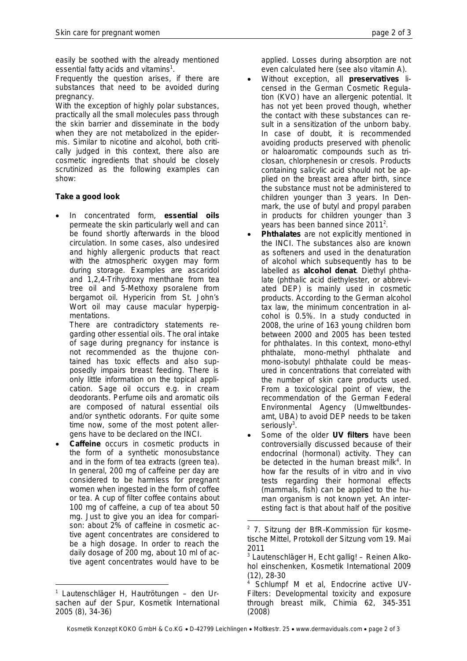easily be soothed with the already mentioned essential fatty acids and vitamins<sup>1</sup>.

Frequently the question arises, if there are substances that need to be avoided during pregnancy.

With the exception of highly polar substances, practically all the small molecules pass through the skin barrier and disseminate in the body when they are not metabolized in the epidermis. Similar to nicotine and alcohol, both critically judged in this context, there also are cosmetic ingredients that should be closely scrutinized as the following examples can show:

**Take a good look**

· In concentrated form, **essential oils** permeate the skin particularly well and can be found shortly afterwards in the blood circulation. In some cases, also undesired and highly allergenic products that react with the atmospheric oxygen may form during storage. Examples are ascaridol and 1,2,4-Trihydroxy menthane from tea tree oil and 5-Methoxy psoralene from bergamot oil. Hypericin from St. John's Wort oil may cause macular hyperpigmentations.

There are contradictory statements regarding other essential oils. The oral intake of sage during pregnancy for instance is not recommended as the thujone contained has toxic effects and also supposedly impairs breast feeding. There is only little information on the topical application. Sage oil occurs e.g. in cream deodorants. Perfume oils and aromatic oils are composed of natural essential oils and/or synthetic odorants. For quite some time now, some of the most potent allergens have to be declared on the INCI.

Caffeine occurs in cosmetic products in the form of a synthetic monosubstance and in the form of tea extracts (green tea). In general, 200 mg of caffeine per day are considered to be harmless for pregnant women when ingested in the form of coffee or tea. A cup of filter coffee contains about 100 mg of caffeine, a cup of tea about 50 mg. Just to give you an idea for comparison: about 2% of caffeine in cosmetic active agent concentrates are considered to be a high dosage. In order to reach the daily dosage of 200 mg, about 10 ml of active agent concentrates would have to be

applied. Losses during absorption are not even calculated here (see also vitamin A).

- · Without exception, all **preservatives** licensed in the German Cosmetic Regulation (KVO) have an allergenic potential. It has not yet been proved though, whether the contact with these substances can result in a sensitization of the unborn baby. In case of doubt, it is recommended avoiding products preserved with phenolic or haloaromatic compounds such as triclosan, chlorphenesin or cresols. Products containing salicylic acid should not be applied on the breast area after birth, since the substance must not be administered to children younger than 3 years. In Denmark, the use of butyl and propyl paraben in products for children younger than 3 years has been banned since  $2011^2$ .
- · **Phthalates** are not explicitly mentioned in the INCI. The substances also are known as softeners and used in the denaturation of alcohol which subsequently has to be labelled as **alcohol denat**. Diethyl phthalate (phthalic acid diethylester, or abbreviated DEP) is mainly used in cosmetic products. According to the German alcohol tax law, the minimum concentration in alcohol is 0.5%. In a study conducted in 2008, the urine of 163 young children born between 2000 and 2005 has been tested for phthalates. In this context, mono-ethyl phthalate, mono-methyl phthalate and mono-isobutyl phthalate could be measured in concentrations that correlated with the number of skin care products used. From a toxicological point of view, the recommendation of the German Federal Environmental Agency (Umweltbundesamt, UBA) to avoid DEP needs to be taken seriously<sup>3</sup>.
- Some of the older UV filters have been controversially discussed because of their endocrinal (hormonal) activity. They can be detected in the human breast milk<sup>4</sup>. In how far the results of in vitro and in vivo tests regarding their hormonal effects (mammals, fish) can be applied to the human organism is not known yet. An interesting fact is that about half of the positive

<sup>1</sup> Lautenschläger H, Hautrötungen – den Ursachen auf der Spur, Kosmetik International 2005 (8), 34-36)

<sup>&</sup>lt;sup>2</sup> 7. Sitzung der BfR-Kommission für kosmetische Mittel, Protokoll der Sitzung vom 19. Mai 2011

<sup>3</sup> Lautenschläger H, Echt gallig! – Reinen Alkohol einschenken, Kosmetik International 2009 (12), 28-30

<sup>4</sup> Schlumpf M et al, Endocrine active UV-Filters: Developmental toxicity and exposure through breast milk, Chimia 62, 345-351 (2008)